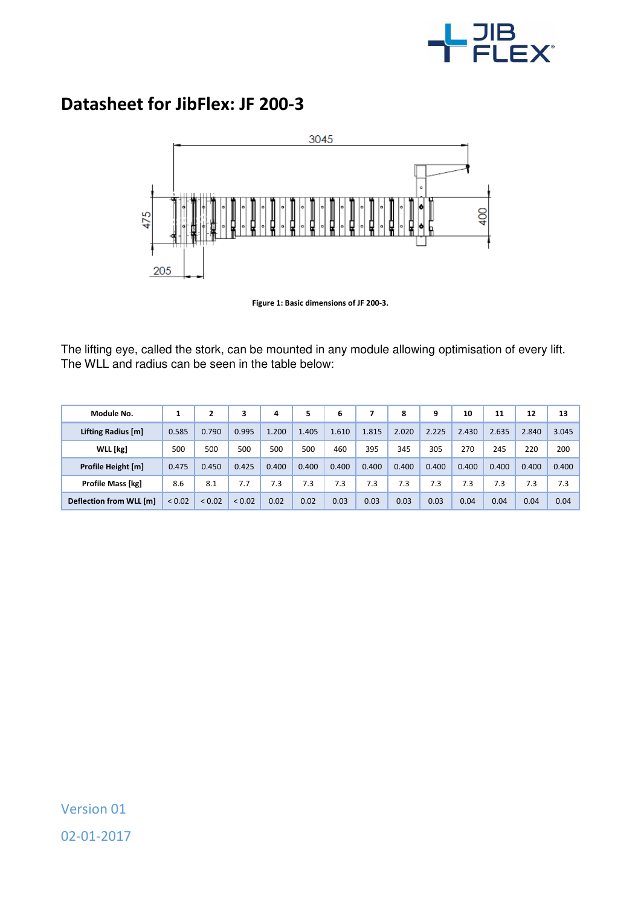

## **Datasheet for JibFlex: JF 200-3**



**Figure 1: Basic dimensions of JF 200-3.** 

The lifting eye, called the stork, can be mounted in any module allowing optimisation of every lift. The WLL and radius can be seen in the table below:

| Module No.               |             |             | 3           | 4     | 5     | 6     |       | 8     | 9     | 10    | 11    | 12    | 13    |
|--------------------------|-------------|-------------|-------------|-------|-------|-------|-------|-------|-------|-------|-------|-------|-------|
| Lifting Radius [m]       | 0.585       | 0.790       | 0.995       | 1.200 | 1.405 | 1.610 | 1.815 | 2.020 | 2.225 | 2.430 | 2.635 | 2.840 | 3.045 |
| WLL [kg]                 | 500         | 500         | 500         | 500   | 500   | 460   | 395   | 345   | 305   | 270   | 245   | 220   | 200   |
| Profile Height [m]       | 0.475       | 0.450       | 0.425       | 0.400 | 0.400 | 0.400 | 0.400 | 0.400 | 0.400 | 0.400 | 0.400 | 0.400 | 0.400 |
| <b>Profile Mass [kg]</b> | 8.6         | 8.1         | 7.7         | 7.3   | 7.3   | 7.3   | 7.3   | 7.3   | 7.3   | 7.3   | 7.3   | 7.3   | 7.3   |
| Deflection from WLL [m]  | ${}_{0.02}$ | ${}_{0.02}$ | ${}_{0.02}$ | 0.02  | 0.02  | 0.03  | 0.03  | 0.03  | 0.03  | 0.04  | 0.04  | 0.04  | 0.04  |